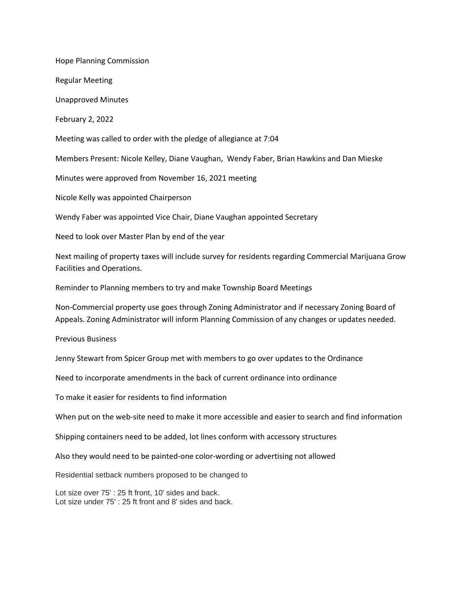Hope Planning Commission

Regular Meeting

Unapproved Minutes

February 2, 2022

Meeting was called to order with the pledge of allegiance at 7:04

Members Present: Nicole Kelley, Diane Vaughan, Wendy Faber, Brian Hawkins and Dan Mieske

Minutes were approved from November 16, 2021 meeting

Nicole Kelly was appointed Chairperson

Wendy Faber was appointed Vice Chair, Diane Vaughan appointed Secretary

Need to look over Master Plan by end of the year

Next mailing of property taxes will include survey for residents regarding Commercial Marijuana Grow Facilities and Operations.

Reminder to Planning members to try and make Township Board Meetings

Non-Commercial property use goes through Zoning Administrator and if necessary Zoning Board of Appeals. Zoning Administrator will inform Planning Commission of any changes or updates needed.

Previous Business

Jenny Stewart from Spicer Group met with members to go over updates to the Ordinance

Need to incorporate amendments in the back of current ordinance into ordinance

To make it easier for residents to find information

When put on the web-site need to make it more accessible and easier to search and find information

Shipping containers need to be added, lot lines conform with accessory structures

Also they would need to be painted-one color-wording or advertising not allowed

Residential setback numbers proposed to be changed to

Lot size over 75' : 25 ft front, 10' sides and back. Lot size under 75' : 25 ft front and 8' sides and back.